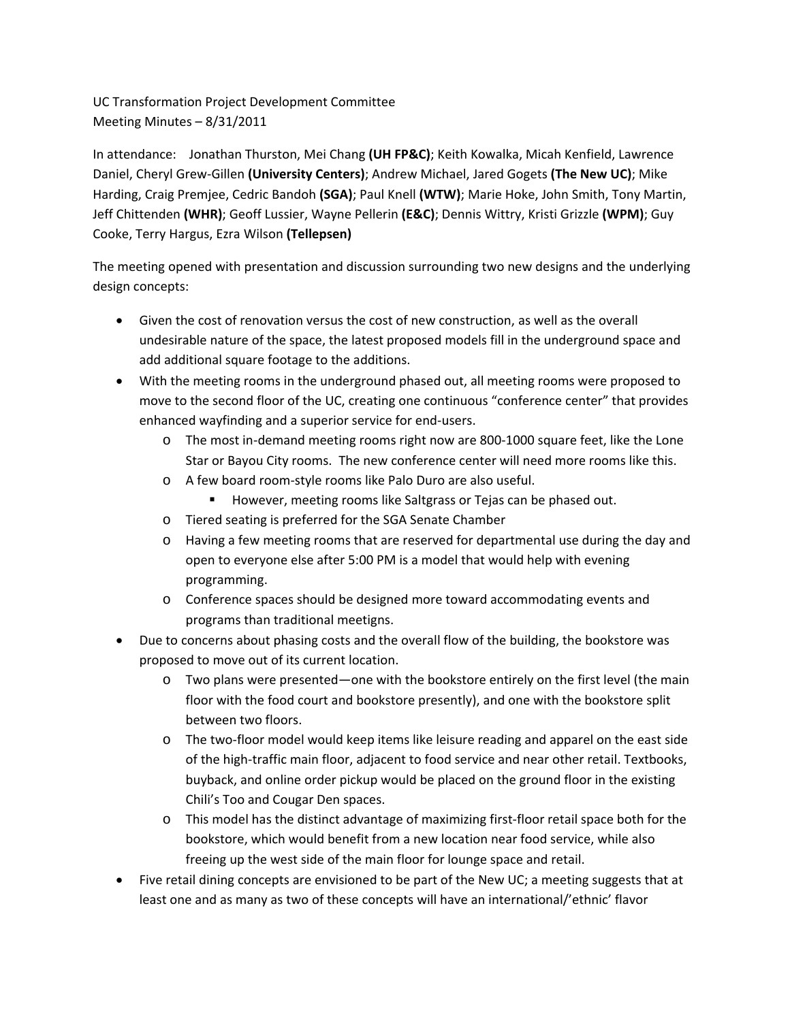UC Transformation Project Development Committee Meeting Minutes – 8/31/2011

In attendance: Jonathan Thurston, Mei Chang **(UH FP&C)**; Keith Kowalka, Micah Kenfield, Lawrence Daniel, Cheryl Grew‐Gillen **(University Centers)**; Andrew Michael, Jared Gogets **(The New UC)**; Mike Harding, Craig Premjee, Cedric Bandoh **(SGA)**; Paul Knell **(WTW)**; Marie Hoke, John Smith, Tony Martin, Jeff Chittenden **(WHR)**; Geoff Lussier, Wayne Pellerin **(E&C)**; Dennis Wittry, Kristi Grizzle **(WPM)**; Guy Cooke, Terry Hargus, Ezra Wilson **(Tellepsen)**

The meeting opened with presentation and discussion surrounding two new designs and the underlying design concepts:

- Given the cost of renovation versus the cost of new construction, as well as the overall undesirable nature of the space, the latest proposed models fill in the underground space and add additional square footage to the additions.
- With the meeting rooms in the underground phased out, all meeting rooms were proposed to move to the second floor of the UC, creating one continuous "conference center" that provides enhanced wayfinding and a superior service for end‐users.
	- o The most in‐demand meeting rooms right now are 800‐1000 square feet, like the Lone Star or Bayou City rooms. The new conference center will need more rooms like this.
	- o A few board room‐style rooms like Palo Duro are also useful.
		- **However, meeting rooms like Saltgrass or Tejas can be phased out.**
	- o Tiered seating is preferred for the SGA Senate Chamber
	- o Having a few meeting rooms that are reserved for departmental use during the day and open to everyone else after 5:00 PM is a model that would help with evening programming.
	- o Conference spaces should be designed more toward accommodating events and programs than traditional meetigns.
- Due to concerns about phasing costs and the overall flow of the building, the bookstore was proposed to move out of its current location.
	- o Two plans were presented—one with the bookstore entirely on the first level (the main floor with the food court and bookstore presently), and one with the bookstore split between two floors.
	- o The two‐floor model would keep items like leisure reading and apparel on the east side of the high‐traffic main floor, adjacent to food service and near other retail. Textbooks, buyback, and online order pickup would be placed on the ground floor in the existing Chili's Too and Cougar Den spaces.
	- o This model has the distinct advantage of maximizing first‐floor retail space both for the bookstore, which would benefit from a new location near food service, while also freeing up the west side of the main floor for lounge space and retail.
- Five retail dining concepts are envisioned to be part of the New UC; a meeting suggests that at least one and as many as two of these concepts will have an international/'ethnic' flavor